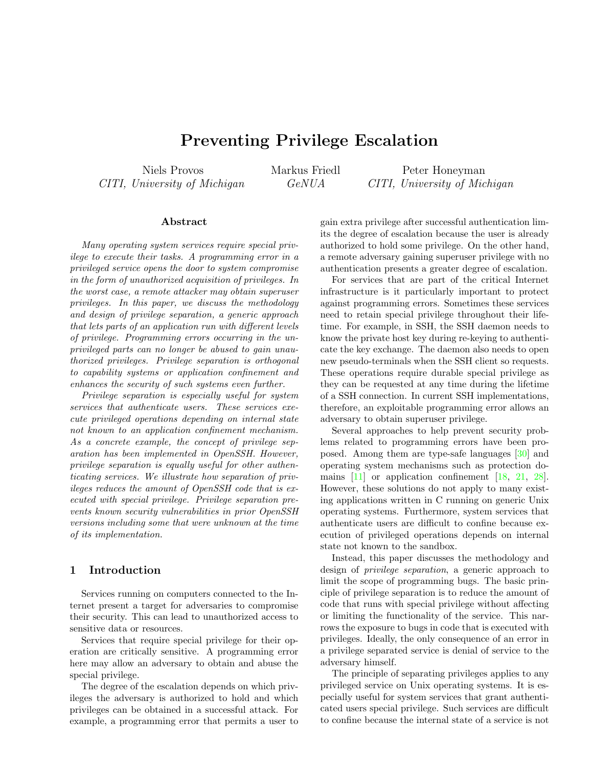# Preventing Privilege Escalation

<span id="page-0-0"></span>Niels Provos CITI, University of Michigan Markus Friedl GeNUA

Peter Honeyman CITI, University of Michigan

#### Abstract

Many operating system services require special privilege to execute their tasks. A programming error in a privileged service opens the door to system compromise in the form of unauthorized acquisition of privileges. In the worst case, a remote attacker may obtain superuser privileges. In this paper, we discuss the methodology and design of privilege separation, a generic approach that lets parts of an application run with different levels of privilege. Programming errors occurring in the unprivileged parts can no longer be abused to gain unauthorized privileges. Privilege separation is orthogonal to capability systems or application confinement and enhances the security of such systems even further.

Privilege separation is especially useful for system services that authenticate users. These services execute privileged operations depending on internal state not known to an application confinement mechanism. As a concrete example, the concept of privilege separation has been implemented in OpenSSH. However, privilege separation is equally useful for other authenticating services. We illustrate how separation of privileges reduces the amount of OpenSSH code that is executed with special privilege. Privilege separation prevents known security vulnerabilities in prior OpenSSH versions including some that were unknown at the time of its implementation.

## 1 Introduction

Services running on computers connected to the Internet present a target for adversaries to compromise their security. This can lead to unauthorized access to sensitive data or resources.

Services that require special privilege for their operation are critically sensitive. A programming error here may allow an adversary to obtain and abuse the special privilege.

The degree of the escalation depends on which privileges the adversary is authorized to hold and which privileges can be obtained in a successful attack. For example, a programming error that permits a user to gain extra privilege after successful authentication limits the degree of escalation because the user is already authorized to hold some privilege. On the other hand, a remote adversary gaining superuser privilege with no authentication presents a greater degree of escalation.

For services that are part of the critical Internet infrastructure is it particularly important to protect against programming errors. Sometimes these services need to retain special privilege throughout their lifetime. For example, in SSH, the SSH daemon needs to know the private host key during re-keying to authenticate the key exchange. The daemon also needs to open new pseudo-terminals when the SSH client so requests. These operations require durable special privilege as they can be requested at any time during the lifetime of a SSH connection. In current SSH implementations, therefore, an exploitable programming error allows an adversary to obtain superuser privilege.

Several approaches to help prevent security problems related to programming errors have been proposed. Among them are type-safe languages [\[30\]](#page-10-0) and operating system mechanisms such as protection domains [\[11\]](#page-10-1) or application confinement [\[18,](#page-10-2) [21,](#page-10-3) [28\]](#page-10-4). However, these solutions do not apply to many existing applications written in C running on generic Unix operating systems. Furthermore, system services that authenticate users are difficult to confine because execution of privileged operations depends on internal state not known to the sandbox.

Instead, this paper discusses the methodology and design of privilege separation, a generic approach to limit the scope of programming bugs. The basic principle of privilege separation is to reduce the amount of code that runs with special privilege without affecting or limiting the functionality of the service. This narrows the exposure to bugs in code that is executed with privileges. Ideally, the only consequence of an error in a privilege separated service is denial of service to the adversary himself.

The principle of separating privileges applies to any privileged service on Unix operating systems. It is especially useful for system services that grant authenticated users special privilege. Such services are difficult to confine because the internal state of a service is not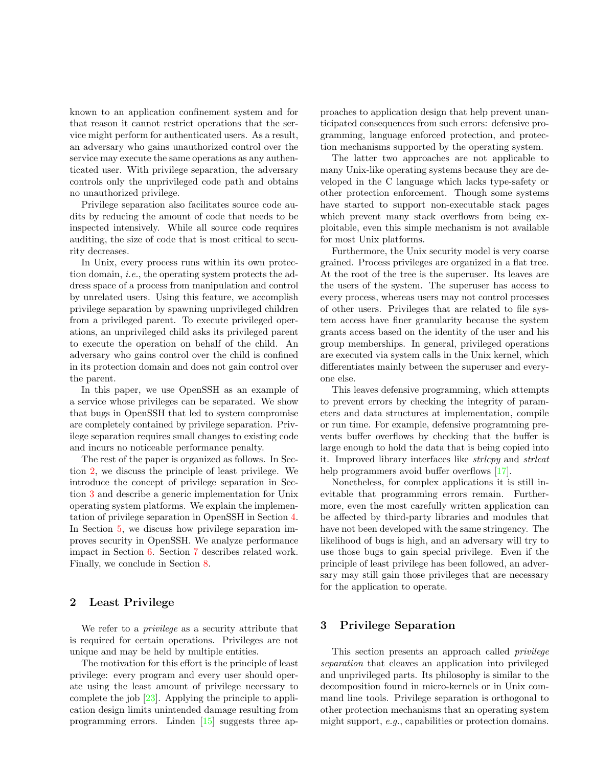<span id="page-1-2"></span>known to an application confinement system and for that reason it cannot restrict operations that the service might perform for authenticated users. As a result, an adversary who gains unauthorized control over the service may execute the same operations as any authenticated user. With privilege separation, the adversary controls only the unprivileged code path and obtains no unauthorized privilege.

Privilege separation also facilitates source code audits by reducing the amount of code that needs to be inspected intensively. While all source code requires auditing, the size of code that is most critical to security decreases.

In Unix, every process runs within its own protection domain, i.e., the operating system protects the address space of a process from manipulation and control by unrelated users. Using this feature, we accomplish privilege separation by spawning unprivileged children from a privileged parent. To execute privileged operations, an unprivileged child asks its privileged parent to execute the operation on behalf of the child. An adversary who gains control over the child is confined in its protection domain and does not gain control over the parent.

In this paper, we use OpenSSH as an example of a service whose privileges can be separated. We show that bugs in OpenSSH that led to system compromise are completely contained by privilege separation. Privilege separation requires small changes to existing code and incurs no noticeable performance penalty.

The rest of the paper is organized as follows. In Section [2,](#page-1-0) we discuss the principle of least privilege. We introduce the concept of privilege separation in Section [3](#page-1-1) and describe a generic implementation for Unix operating system platforms. We explain the implementation of privilege separation in OpenSSH in Section [4.](#page-4-0) In Section [5,](#page-7-0) we discuss how privilege separation improves security in OpenSSH. We analyze performance impact in Section [6.](#page-8-0) Section [7](#page-8-1) describes related work. Finally, we conclude in Section [8.](#page-9-0)

## <span id="page-1-0"></span>2 Least Privilege

We refer to a privilege as a security attribute that is required for certain operations. Privileges are not unique and may be held by multiple entities.

The motivation for this effort is the principle of least privilege: every program and every user should operate using the least amount of privilege necessary to complete the job [\[23\]](#page-10-5). Applying the principle to application design limits unintended damage resulting from programming errors. Linden [\[15\]](#page-10-6) suggests three approaches to application design that help prevent unanticipated consequences from such errors: defensive programming, language enforced protection, and protection mechanisms supported by the operating system.

The latter two approaches are not applicable to many Unix-like operating systems because they are developed in the C language which lacks type-safety or other protection enforcement. Though some systems have started to support non-executable stack pages which prevent many stack overflows from being exploitable, even this simple mechanism is not available for most Unix platforms.

Furthermore, the Unix security model is very coarse grained. Process privileges are organized in a flat tree. At the root of the tree is the superuser. Its leaves are the users of the system. The superuser has access to every process, whereas users may not control processes of other users. Privileges that are related to file system access have finer granularity because the system grants access based on the identity of the user and his group memberships. In general, privileged operations are executed via system calls in the Unix kernel, which differentiates mainly between the superuser and everyone else.

This leaves defensive programming, which attempts to prevent errors by checking the integrity of parameters and data structures at implementation, compile or run time. For example, defensive programming prevents buffer overflows by checking that the buffer is large enough to hold the data that is being copied into it. Improved library interfaces like strlcpy and strlcat help programmers avoid buffer overflows [\[17\]](#page-10-7).

Nonetheless, for complex applications it is still inevitable that programming errors remain. Furthermore, even the most carefully written application can be affected by third-party libraries and modules that have not been developed with the same stringency. The likelihood of bugs is high, and an adversary will try to use those bugs to gain special privilege. Even if the principle of least privilege has been followed, an adversary may still gain those privileges that are necessary for the application to operate.

## <span id="page-1-1"></span>3 Privilege Separation

This section presents an approach called *privilege* separation that cleaves an application into privileged and unprivileged parts. Its philosophy is similar to the decomposition found in micro-kernels or in Unix command line tools. Privilege separation is orthogonal to other protection mechanisms that an operating system might support, e.g., capabilities or protection domains.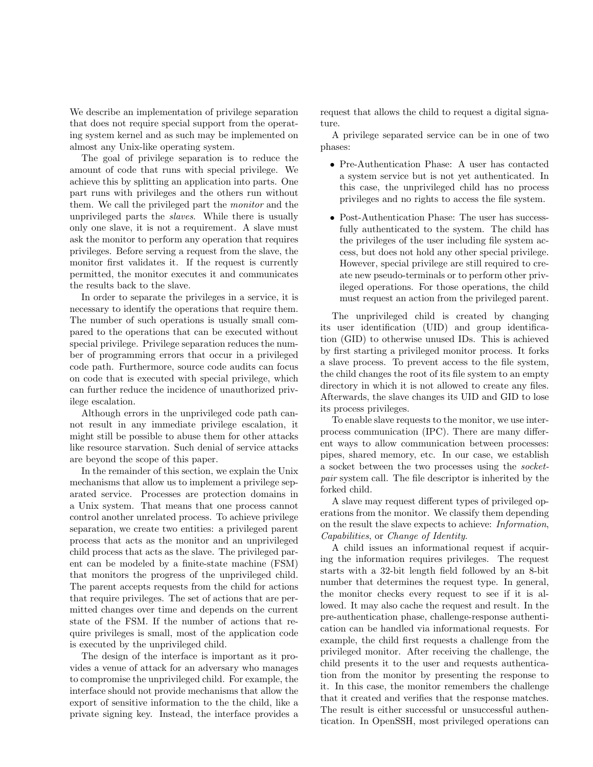We describe an implementation of privilege separation that does not require special support from the operating system kernel and as such may be implemented on almost any Unix-like operating system.

The goal of privilege separation is to reduce the amount of code that runs with special privilege. We achieve this by splitting an application into parts. One part runs with privileges and the others run without them. We call the privileged part the monitor and the unprivileged parts the slaves. While there is usually only one slave, it is not a requirement. A slave must ask the monitor to perform any operation that requires privileges. Before serving a request from the slave, the monitor first validates it. If the request is currently permitted, the monitor executes it and communicates the results back to the slave.

In order to separate the privileges in a service, it is necessary to identify the operations that require them. The number of such operations is usually small compared to the operations that can be executed without special privilege. Privilege separation reduces the number of programming errors that occur in a privileged code path. Furthermore, source code audits can focus on code that is executed with special privilege, which can further reduce the incidence of unauthorized privilege escalation.

Although errors in the unprivileged code path cannot result in any immediate privilege escalation, it might still be possible to abuse them for other attacks like resource starvation. Such denial of service attacks are beyond the scope of this paper.

In the remainder of this section, we explain the Unix mechanisms that allow us to implement a privilege separated service. Processes are protection domains in a Unix system. That means that one process cannot control another unrelated process. To achieve privilege separation, we create two entities: a privileged parent process that acts as the monitor and an unprivileged child process that acts as the slave. The privileged parent can be modeled by a finite-state machine (FSM) that monitors the progress of the unprivileged child. The parent accepts requests from the child for actions that require privileges. The set of actions that are permitted changes over time and depends on the current state of the FSM. If the number of actions that require privileges is small, most of the application code is executed by the unprivileged child.

The design of the interface is important as it provides a venue of attack for an adversary who manages to compromise the unprivileged child. For example, the interface should not provide mechanisms that allow the export of sensitive information to the the child, like a private signing key. Instead, the interface provides a request that allows the child to request a digital signature.

A privilege separated service can be in one of two phases:

- Pre-Authentication Phase: A user has contacted a system service but is not yet authenticated. In this case, the unprivileged child has no process privileges and no rights to access the file system.
- Post-Authentication Phase: The user has successfully authenticated to the system. The child has the privileges of the user including file system access, but does not hold any other special privilege. However, special privilege are still required to create new pseudo-terminals or to perform other privileged operations. For those operations, the child must request an action from the privileged parent.

The unprivileged child is created by changing its user identification (UID) and group identification (GID) to otherwise unused IDs. This is achieved by first starting a privileged monitor process. It forks a slave process. To prevent access to the file system, the child changes the root of its file system to an empty directory in which it is not allowed to create any files. Afterwards, the slave changes its UID and GID to lose its process privileges.

To enable slave requests to the monitor, we use interprocess communication (IPC). There are many different ways to allow communication between processes: pipes, shared memory, etc. In our case, we establish a socket between the two processes using the socketpair system call. The file descriptor is inherited by the forked child.

A slave may request different types of privileged operations from the monitor. We classify them depending on the result the slave expects to achieve: Information, Capabilities, or Change of Identity.

A child issues an informational request if acquiring the information requires privileges. The request starts with a 32-bit length field followed by an 8-bit number that determines the request type. In general, the monitor checks every request to see if it is allowed. It may also cache the request and result. In the pre-authentication phase, challenge-response authentication can be handled via informational requests. For example, the child first requests a challenge from the privileged monitor. After receiving the challenge, the child presents it to the user and requests authentication from the monitor by presenting the response to it. In this case, the monitor remembers the challenge that it created and verifies that the response matches. The result is either successful or unsuccessful authentication. In OpenSSH, most privileged operations can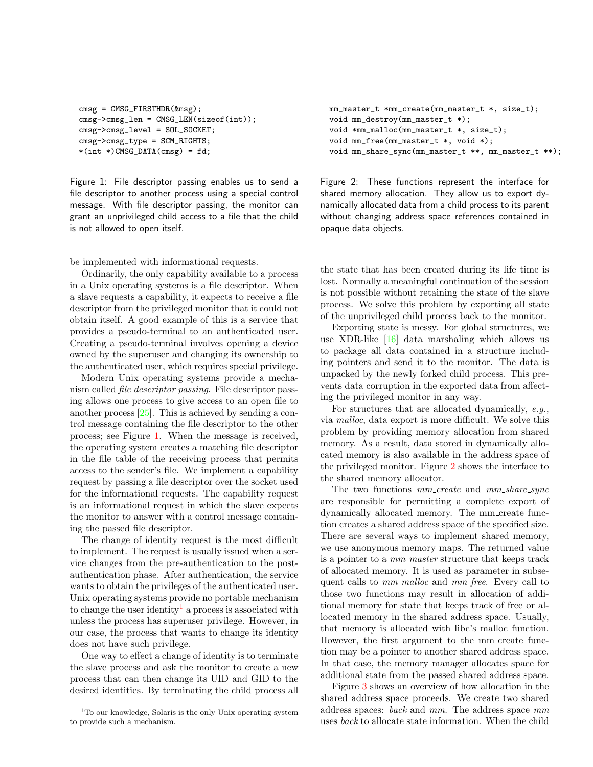```
cmsg = CMSG_FIRSTHDR(&msg);
cmsg->cmsg_len = CMSG_LEN(sizeof(int));
cmsg->cmsg_level = SOL_SOCKET;
cmsg->cmsg_type = SCM_RIGHTS;
*(int _{\cdot}^{\cdot})CMSG_DATA(cmsg) = fd;
```
<span id="page-3-0"></span>Figure 1: File descriptor passing enables us to send a file descriptor to another process using a special control message. With file descriptor passing, the monitor can grant an unprivileged child access to a file that the child is not allowed to open itself.

be implemented with informational requests.

Ordinarily, the only capability available to a process in a Unix operating systems is a file descriptor. When a slave requests a capability, it expects to receive a file descriptor from the privileged monitor that it could not obtain itself. A good example of this is a service that provides a pseudo-terminal to an authenticated user. Creating a pseudo-terminal involves opening a device owned by the superuser and changing its ownership to the authenticated user, which requires special privilege.

Modern Unix operating systems provide a mechanism called file descriptor passing. File descriptor passing allows one process to give access to an open file to another process [\[25\]](#page-10-8). This is achieved by sending a control message containing the file descriptor to the other process; see Figure [1.](#page-3-0) When the message is received, the operating system creates a matching file descriptor in the file table of the receiving process that permits access to the sender's file. We implement a capability request by passing a file descriptor over the socket used for the informational requests. The capability request is an informational request in which the slave expects the monitor to answer with a control message containing the passed file descriptor.

The change of identity request is the most difficult to implement. The request is usually issued when a service changes from the pre-authentication to the postauthentication phase. After authentication, the service wants to obtain the privileges of the authenticated user. Unix operating systems provide no portable mechanism to change the user identity<sup>[1](#page-3-1)</sup> a process is associated with unless the process has superuser privilege. However, in our case, the process that wants to change its identity does not have such privilege.

One way to effect a change of identity is to terminate the slave process and ask the monitor to create a new process that can then change its UID and GID to the desired identities. By terminating the child process all

```
mm_master_t *mm_create(mm_master_t *, size_t);
void mm_destroy(mm_master_t *);
void *mm_malloc(mm_master_t *, size_t);
void mm_free(mm_master_t *, void *);
void mm_share_sync(mm_master_t **, mm_master_t **);
```
<span id="page-3-2"></span>Figure 2: These functions represent the interface for shared memory allocation. They allow us to export dynamically allocated data from a child process to its parent without changing address space references contained in opaque data objects.

the state that has been created during its life time is lost. Normally a meaningful continuation of the session is not possible without retaining the state of the slave process. We solve this problem by exporting all state of the unprivileged child process back to the monitor.

Exporting state is messy. For global structures, we use XDR-like [\[16\]](#page-10-9) data marshaling which allows us to package all data contained in a structure including pointers and send it to the monitor. The data is unpacked by the newly forked child process. This prevents data corruption in the exported data from affecting the privileged monitor in any way.

For structures that are allocated dynamically, e.g., via malloc, data export is more difficult. We solve this problem by providing memory allocation from shared memory. As a result, data stored in dynamically allocated memory is also available in the address space of the privileged monitor. Figure [2](#page-3-2) shows the interface to the shared memory allocator.

The two functions  $mm\_create$  and  $mm\_share\_sync$ are responsible for permitting a complete export of dynamically allocated memory. The mm create function creates a shared address space of the specified size. There are several ways to implement shared memory, we use anonymous memory maps. The returned value is a pointer to a  $mm\_master$  structure that keeps track of allocated memory. It is used as parameter in subsequent calls to mm\_malloc and mm\_free. Every call to those two functions may result in allocation of additional memory for state that keeps track of free or allocated memory in the shared address space. Usually, that memory is allocated with libc's malloc function. However, the first argument to the mm create function may be a pointer to another shared address space. In that case, the memory manager allocates space for additional state from the passed shared address space.

Figure [3](#page-4-1) shows an overview of how allocation in the shared address space proceeds. We create two shared address spaces: back and mm. The address space mm uses back to allocate state information. When the child

<span id="page-3-1"></span><sup>1</sup>To our knowledge, Solaris is the only Unix operating system to provide such a mechanism.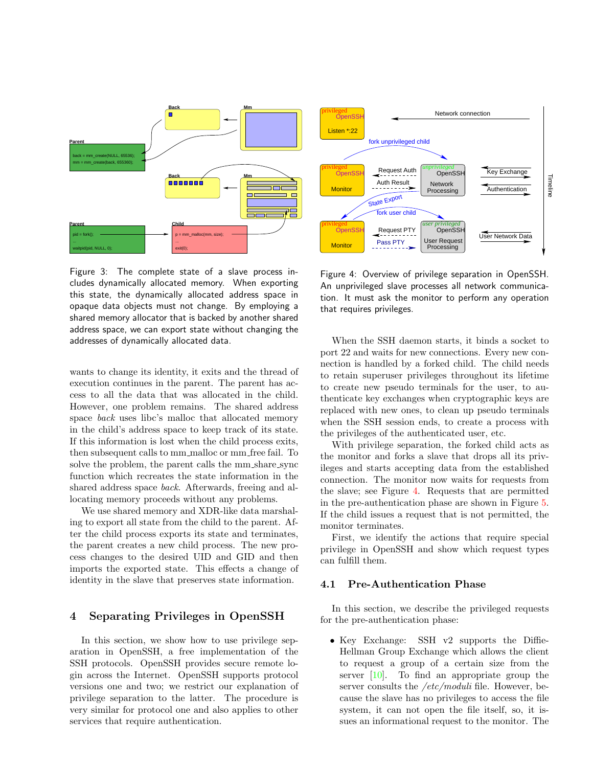<span id="page-4-3"></span>

<span id="page-4-1"></span>Figure 3: The complete state of a slave process includes dynamically allocated memory. When exporting this state, the dynamically allocated address space in opaque data objects must not change. By employing a shared memory allocator that is backed by another shared address space, we can export state without changing the addresses of dynamically allocated data.

wants to change its identity, it exits and the thread of execution continues in the parent. The parent has access to all the data that was allocated in the child. However, one problem remains. The shared address space *back* uses libc's malloc that allocated memory in the child's address space to keep track of its state. If this information is lost when the child process exits, then subsequent calls to mm\_malloc or mm\_free fail. To solve the problem, the parent calls the mm\_share\_sync function which recreates the state information in the shared address space back. Afterwards, freeing and allocating memory proceeds without any problems.

We use shared memory and XDR-like data marshaling to export all state from the child to the parent. After the child process exports its state and terminates, the parent creates a new child process. The new process changes to the desired UID and GID and then imports the exported state. This effects a change of identity in the slave that preserves state information.

### <span id="page-4-0"></span>4 Separating Privileges in OpenSSH

In this section, we show how to use privilege separation in OpenSSH, a free implementation of the SSH protocols. OpenSSH provides secure remote login across the Internet. OpenSSH supports protocol versions one and two; we restrict our explanation of privilege separation to the latter. The procedure is very similar for protocol one and also applies to other services that require authentication.



<span id="page-4-2"></span>Figure 4: Overview of privilege separation in OpenSSH. An unprivileged slave processes all network communication. It must ask the monitor to perform any operation that requires privileges.

When the SSH daemon starts, it binds a socket to port 22 and waits for new connections. Every new connection is handled by a forked child. The child needs to retain superuser privileges throughout its lifetime to create new pseudo terminals for the user, to authenticate key exchanges when cryptographic keys are replaced with new ones, to clean up pseudo terminals when the SSH session ends, to create a process with the privileges of the authenticated user, etc.

With privilege separation, the forked child acts as the monitor and forks a slave that drops all its privileges and starts accepting data from the established connection. The monitor now waits for requests from the slave; see Figure [4.](#page-4-2) Requests that are permitted in the pre-authentication phase are shown in Figure [5.](#page-5-0) If the child issues a request that is not permitted, the monitor terminates.

First, we identify the actions that require special privilege in OpenSSH and show which request types can fulfill them.

#### 4.1 Pre-Authentication Phase

In this section, we describe the privileged requests for the pre-authentication phase:

• Key Exchange: SSH v2 supports the Diffie-Hellman Group Exchange which allows the client to request a group of a certain size from the server [\[10\]](#page-10-10). To find an appropriate group the server consults the /etc/moduli file. However, because the slave has no privileges to access the file system, it can not open the file itself, so, it issues an informational request to the monitor. The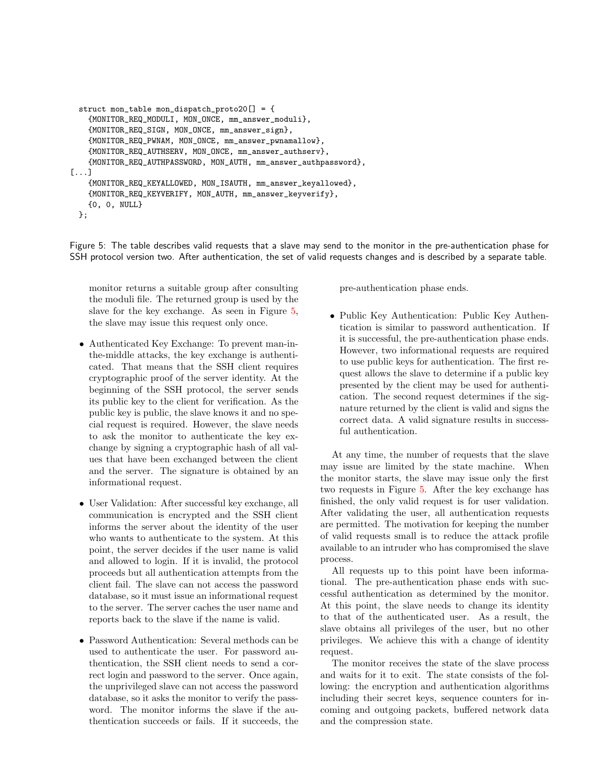```
struct mon_table mon_dispatch_proto20[] = {
    {MONITOR_REQ_MODULI, MON_ONCE, mm_answer_moduli},
    {MONITOR_REQ_SIGN, MON_ONCE, mm_answer_sign},
    {MONITOR_REQ_PWNAM, MON_ONCE, mm_answer_pwnamallow},
    {MONITOR_REQ_AUTHSERV, MON_ONCE, mm_answer_authserv},
    {MONITOR_REQ_AUTHPASSWORD, MON_AUTH, mm_answer_authpassword},
[...]
    {MONITOR_REQ_KEYALLOWED, MON_ISAUTH, mm_answer_keyallowed},
    {MONITOR_REQ_KEYVERIFY, MON_AUTH, mm_answer_keyverify},
    {0, 0, NULL}
 };
```
Figure 5: The table describes valid requests that a slave may send to the monitor in the pre-authentication phase for SSH protocol version two. After authentication, the set of valid requests changes and is described by a separate table.

<span id="page-5-0"></span>monitor returns a suitable group after consulting the moduli file. The returned group is used by the slave for the key exchange. As seen in Figure [5,](#page-5-0) the slave may issue this request only once.

- Authenticated Key Exchange: To prevent man-inthe-middle attacks, the key exchange is authenticated. That means that the SSH client requires cryptographic proof of the server identity. At the beginning of the SSH protocol, the server sends its public key to the client for verification. As the public key is public, the slave knows it and no special request is required. However, the slave needs to ask the monitor to authenticate the key exchange by signing a cryptographic hash of all values that have been exchanged between the client and the server. The signature is obtained by an informational request.
- User Validation: After successful key exchange, all communication is encrypted and the SSH client informs the server about the identity of the user who wants to authenticate to the system. At this point, the server decides if the user name is valid and allowed to login. If it is invalid, the protocol proceeds but all authentication attempts from the client fail. The slave can not access the password database, so it must issue an informational request to the server. The server caches the user name and reports back to the slave if the name is valid.
- Password Authentication: Several methods can be used to authenticate the user. For password authentication, the SSH client needs to send a correct login and password to the server. Once again, the unprivileged slave can not access the password database, so it asks the monitor to verify the password. The monitor informs the slave if the authentication succeeds or fails. If it succeeds, the

pre-authentication phase ends.

• Public Key Authentication: Public Key Authentication is similar to password authentication. If it is successful, the pre-authentication phase ends. However, two informational requests are required to use public keys for authentication. The first request allows the slave to determine if a public key presented by the client may be used for authentication. The second request determines if the signature returned by the client is valid and signs the correct data. A valid signature results in successful authentication.

At any time, the number of requests that the slave may issue are limited by the state machine. When the monitor starts, the slave may issue only the first two requests in Figure [5.](#page-5-0) After the key exchange has finished, the only valid request is for user validation. After validating the user, all authentication requests are permitted. The motivation for keeping the number of valid requests small is to reduce the attack profile available to an intruder who has compromised the slave process.

All requests up to this point have been informational. The pre-authentication phase ends with successful authentication as determined by the monitor. At this point, the slave needs to change its identity to that of the authenticated user. As a result, the slave obtains all privileges of the user, but no other privileges. We achieve this with a change of identity request.

The monitor receives the state of the slave process and waits for it to exit. The state consists of the following: the encryption and authentication algorithms including their secret keys, sequence counters for incoming and outgoing packets, buffered network data and the compression state.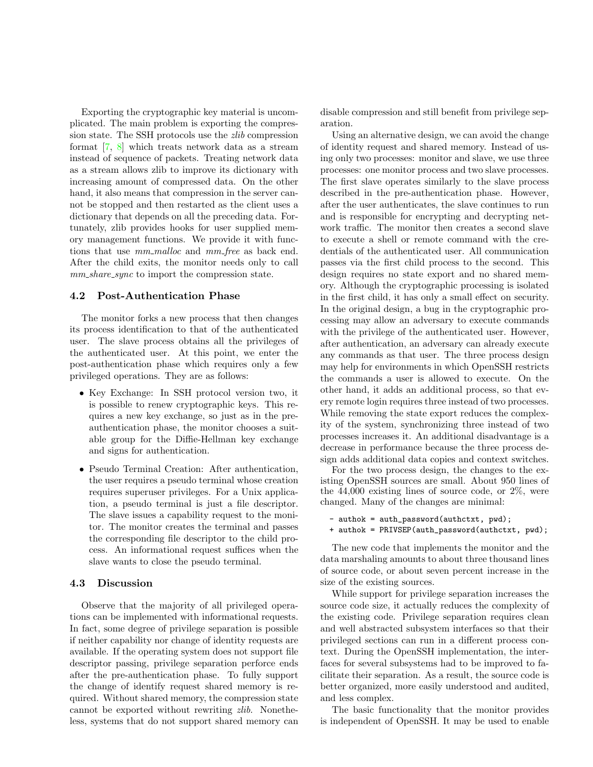<span id="page-6-0"></span>Exporting the cryptographic key material is uncomplicated. The main problem is exporting the compression state. The SSH protocols use the zlib compression format [\[7,](#page-10-11) [8\]](#page-10-12) which treats network data as a stream instead of sequence of packets. Treating network data as a stream allows zlib to improve its dictionary with increasing amount of compressed data. On the other hand, it also means that compression in the server cannot be stopped and then restarted as the client uses a dictionary that depends on all the preceding data. Fortunately, zlib provides hooks for user supplied memory management functions. We provide it with functions that use  $mm\_malloc$  and  $mm\_free$  as back end. After the child exits, the monitor needs only to call mm share sync to import the compression state.

#### 4.2 Post-Authentication Phase

The monitor forks a new process that then changes its process identification to that of the authenticated user. The slave process obtains all the privileges of the authenticated user. At this point, we enter the post-authentication phase which requires only a few privileged operations. They are as follows:

- Key Exchange: In SSH protocol version two, it is possible to renew cryptographic keys. This requires a new key exchange, so just as in the preauthentication phase, the monitor chooses a suitable group for the Diffie-Hellman key exchange and signs for authentication.
- Pseudo Terminal Creation: After authentication, the user requires a pseudo terminal whose creation requires superuser privileges. For a Unix application, a pseudo terminal is just a file descriptor. The slave issues a capability request to the monitor. The monitor creates the terminal and passes the corresponding file descriptor to the child process. An informational request suffices when the slave wants to close the pseudo terminal.

#### 4.3 Discussion

Observe that the majority of all privileged operations can be implemented with informational requests. In fact, some degree of privilege separation is possible if neither capability nor change of identity requests are available. If the operating system does not support file descriptor passing, privilege separation perforce ends after the pre-authentication phase. To fully support the change of identify request shared memory is required. Without shared memory, the compression state cannot be exported without rewriting zlib. Nonetheless, systems that do not support shared memory can disable compression and still benefit from privilege separation.

Using an alternative design, we can avoid the change of identity request and shared memory. Instead of using only two processes: monitor and slave, we use three processes: one monitor process and two slave processes. The first slave operates similarly to the slave process described in the pre-authentication phase. However, after the user authenticates, the slave continues to run and is responsible for encrypting and decrypting network traffic. The monitor then creates a second slave to execute a shell or remote command with the credentials of the authenticated user. All communication passes via the first child process to the second. This design requires no state export and no shared memory. Although the cryptographic processing is isolated in the first child, it has only a small effect on security. In the original design, a bug in the cryptographic processing may allow an adversary to execute commands with the privilege of the authenticated user. However, after authentication, an adversary can already execute any commands as that user. The three process design may help for environments in which OpenSSH restricts the commands a user is allowed to execute. On the other hand, it adds an additional process, so that every remote login requires three instead of two processes. While removing the state export reduces the complexity of the system, synchronizing three instead of two processes increases it. An additional disadvantage is a decrease in performance because the three process design adds additional data copies and context switches.

For the two process design, the changes to the existing OpenSSH sources are small. About 950 lines of the 44,000 existing lines of source code, or 2%, were changed. Many of the changes are minimal:

```
- authok = auth_password(authctxt, pwd);
+ authok = PRIVSEP(auth_password(authctxt, pwd);
```
The new code that implements the monitor and the data marshaling amounts to about three thousand lines of source code, or about seven percent increase in the size of the existing sources.

While support for privilege separation increases the source code size, it actually reduces the complexity of the existing code. Privilege separation requires clean and well abstracted subsystem interfaces so that their privileged sections can run in a different process context. During the OpenSSH implementation, the interfaces for several subsystems had to be improved to facilitate their separation. As a result, the source code is better organized, more easily understood and audited, and less complex.

The basic functionality that the monitor provides is independent of OpenSSH. It may be used to enable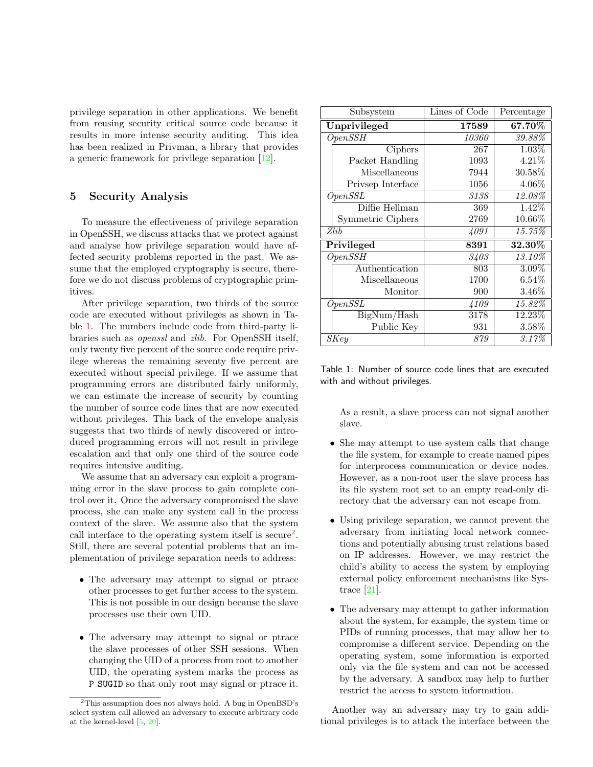<span id="page-7-3"></span>privilege separation in other applications. We benefit from reusing security critical source code because it results in more intense security auditing. This idea has been realized in Privman, a library that provides a generic framework for privilege separation [\[12\]](#page-10-13).

## <span id="page-7-0"></span>5 Security Analysis

To measure the effectiveness of privilege separation in OpenSSH, we discuss attacks that we protect against and analyse how privilege separation would have affected security problems reported in the past. We assume that the employed cryptography is secure, therefore we do not discuss problems of cryptographic primitives.

After privilege separation, two thirds of the source code are executed without privileges as shown in Table [1.](#page-7-1) The numbers include code from third-party libraries such as openssl and zlib. For OpenSSH itself, only twenty five percent of the source code require privilege whereas the remaining seventy five percent are executed without special privilege. If we assume that programming errors are distributed fairly uniformly, we can estimate the increase of security by counting the number of source code lines that are now executed without privileges. This back of the envelope analysis suggests that two thirds of newly discovered or introduced programming errors will not result in privilege escalation and that only one third of the source code requires intensive auditing.

We assume that an adversary can exploit a programming error in the slave process to gain complete control over it. Once the adversary compromised the slave process, she can make any system call in the process context of the slave. We assume also that the system call interface to the operating system itself is secure<sup>[2](#page-7-2)</sup>. Still, there are several potential problems that an implementation of privilege separation needs to address:

- The adversary may attempt to signal or ptrace other processes to get further access to the system. This is not possible in our design because the slave processes use their own UID.
- The adversary may attempt to signal or ptrace the slave processes of other SSH sessions. When changing the UID of a process from root to another UID, the operating system marks the process as P SUGID so that only root may signal or ptrace it.

| Subsystem         | Lines of Code | Percentage |
|-------------------|---------------|------------|
| Unprivileged      | 17589         | 67.70%     |
| OpenSSH           | 10360         | 39.88%     |
| Ciphers           | 267           | 1.03%      |
| Packet Handling   | 1093          | 4.21%      |
| Miscellaneous     | 7944          | 30.58\%    |
| Privsep Interface | 1056          | $4.06\%$   |
| OpenSSL           | 3138          | 12.08%     |
| Diffie Hellman    | 369           | 1.42%      |
| Symmetric Ciphers | 2769          | 10.66%     |
| Zlib              | 4091          | $15.75\%$  |
| Privileged        | 8391          | 32.30%     |
| OpenSSH           | 3403          | 13.10%     |
| Authentication    | 803           | $3.09\%$   |
| Miscellaneous     | 1700          | $6.54\%$   |
| Monitor           | 900           | $3.46\%$   |
| OpenSSL           | 4109          | 15.82%     |
| BigNum/Hash       | 3178          | 12.23%     |
| Public Key        | 931           | $3.58\%$   |
| SKey              | 879           | 3.17%      |

<span id="page-7-1"></span>Table 1: Number of source code lines that are executed with and without privileges.

As a result, a slave process can not signal another slave.

- She may attempt to use system calls that change the file system, for example to create named pipes for interprocess communication or device nodes. However, as a non-root user the slave process has its file system root set to an empty read-only directory that the adversary can not escape from.
- Using privilege separation, we cannot prevent the adversary from initiating local network connections and potentially abusing trust relations based on IP addresses. However, we may restrict the child's ability to access the system by employing external policy enforcement mechanisms like Systrace [\[21\]](#page-10-3).
- The adversary may attempt to gather information about the system, for example, the system time or PIDs of running processes, that may allow her to compromise a different service. Depending on the operating system, some information is exported only via the file system and can not be accessed by the adversary. A sandbox may help to further restrict the access to system information.

Another way an adversary may try to gain additional privileges is to attack the interface between the

<span id="page-7-2"></span><sup>2</sup>This assumption does not always hold. A bug in OpenBSD's select system call allowed an adversary to execute arbitrary code at the kernel-level [\[5,](#page-10-14) [20\]](#page-10-15).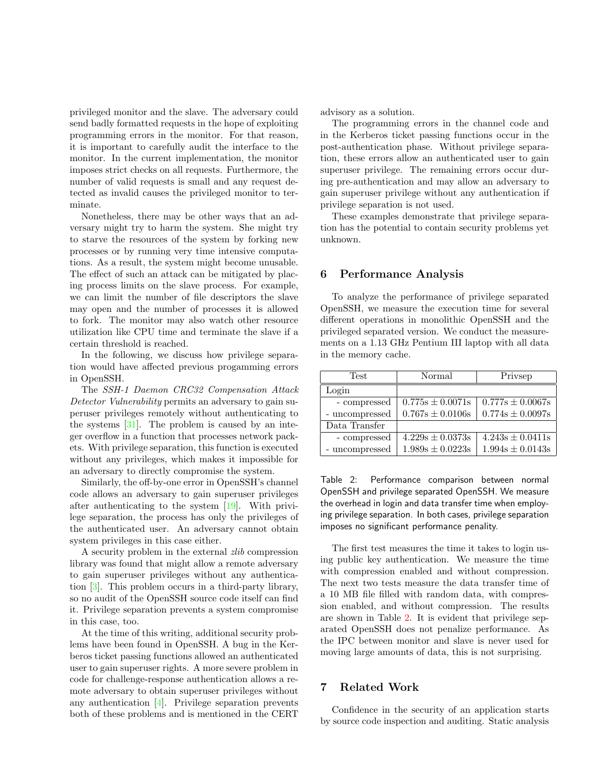<span id="page-8-3"></span>privileged monitor and the slave. The adversary could send badly formatted requests in the hope of exploiting programming errors in the monitor. For that reason, it is important to carefully audit the interface to the monitor. In the current implementation, the monitor imposes strict checks on all requests. Furthermore, the number of valid requests is small and any request detected as invalid causes the privileged monitor to terminate.

Nonetheless, there may be other ways that an adversary might try to harm the system. She might try to starve the resources of the system by forking new processes or by running very time intensive computations. As a result, the system might become unusable. The effect of such an attack can be mitigated by placing process limits on the slave process. For example, we can limit the number of file descriptors the slave may open and the number of processes it is allowed to fork. The monitor may also watch other resource utilization like CPU time and terminate the slave if a certain threshold is reached.

In the following, we discuss how privilege separation would have affected previous progamming errors in OpenSSH.

The SSH-1 Daemon CRC32 Compensation Attack Detector Vulnerability permits an adversary to gain superuser privileges remotely without authenticating to the systems  $[31]$ . The problem is caused by an integer overflow in a function that processes network packets. With privilege separation, this function is executed without any privileges, which makes it impossible for an adversary to directly compromise the system.

Similarly, the off-by-one error in OpenSSH's channel code allows an adversary to gain superuser privileges after authenticating to the system [\[19\]](#page-10-17). With privilege separation, the process has only the privileges of the authenticated user. An adversary cannot obtain system privileges in this case either.

A security problem in the external zlib compression library was found that might allow a remote adversary to gain superuser privileges without any authentication [\[3\]](#page-9-1). This problem occurs in a third-party library, so no audit of the OpenSSH source code itself can find it. Privilege separation prevents a system compromise in this case, too.

At the time of this writing, additional security problems have been found in OpenSSH. A bug in the Kerberos ticket passing functions allowed an authenticated user to gain superuser rights. A more severe problem in code for challenge-response authentication allows a remote adversary to obtain superuser privileges without any authentication [\[4\]](#page-9-2). Privilege separation prevents both of these problems and is mentioned in the CERT advisory as a solution.

The programming errors in the channel code and in the Kerberos ticket passing functions occur in the post-authentication phase. Without privilege separation, these errors allow an authenticated user to gain superuser privilege. The remaining errors occur during pre-authentication and may allow an adversary to gain superuser privilege without any authentication if privilege separation is not used.

These examples demonstrate that privilege separation has the potential to contain security problems yet unknown.

## <span id="page-8-0"></span>6 Performance Analysis

To analyze the performance of privilege separated OpenSSH, we measure the execution time for several different operations in monolithic OpenSSH and the privileged separated version. We conduct the measurements on a 1.13 GHz Pentium III laptop with all data in the memory cache.

| <b>Test</b>    | Normal               | Privsep              |
|----------------|----------------------|----------------------|
| Login          |                      |                      |
| - compressed   | $0.775s \pm 0.0071s$ | $0.777s \pm 0.0067s$ |
| - uncompressed | $0.767s \pm 0.0106s$ | $0.774s \pm 0.0097s$ |
| Data Transfer  |                      |                      |
| - compressed   | $4.229s \pm 0.0373s$ | $4.243s \pm 0.0411s$ |
| - uncompressed | $1.989s \pm 0.0223s$ | $1.994s \pm 0.0143s$ |

<span id="page-8-2"></span>Table 2: Performance comparison between normal OpenSSH and privilege separated OpenSSH. We measure the overhead in login and data transfer time when employing privilege separation. In both cases, privilege separation imposes no significant performance penality.

The first test measures the time it takes to login using public key authentication. We measure the time with compression enabled and without compression. The next two tests measure the data transfer time of a 10 MB file filled with random data, with compression enabled, and without compression. The results are shown in Table [2.](#page-8-2) It is evident that privilege separated OpenSSH does not penalize performance. As the IPC between monitor and slave is never used for moving large amounts of data, this is not surprising.

## <span id="page-8-1"></span>7 Related Work

Confidence in the security of an application starts by source code inspection and auditing. Static analysis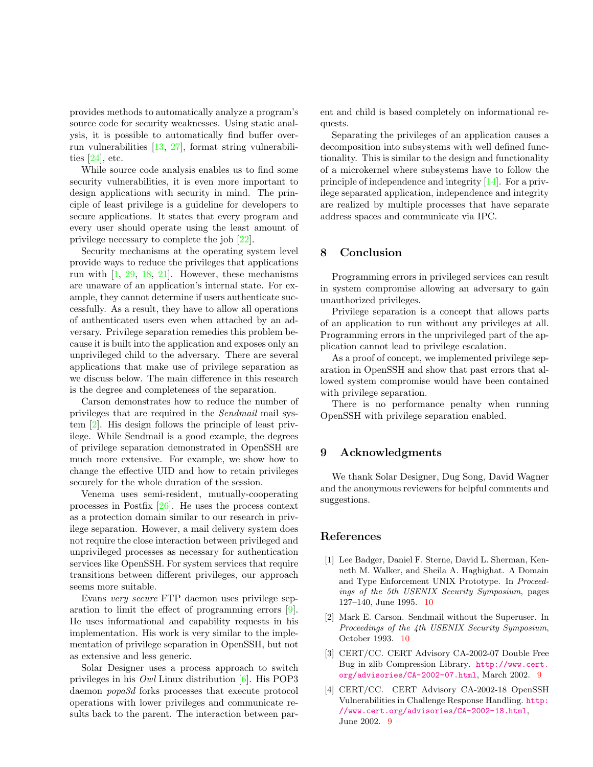<span id="page-9-5"></span>provides methods to automatically analyze a program's source code for security weaknesses. Using static analysis, it is possible to automatically find buffer overrun vulnerabilities [\[13,](#page-10-18) [27\]](#page-10-19), format string vulnerabilities [\[24\]](#page-10-20), etc.

While source code analysis enables us to find some security vulnerabilities, it is even more important to design applications with security in mind. The principle of least privilege is a guideline for developers to secure applications. It states that every program and every user should operate using the least amount of privilege necessary to complete the job [\[22\]](#page-10-21).

Security mechanisms at the operating system level provide ways to reduce the privileges that applications run with [\[1,](#page-9-3) [29,](#page-10-22) [18,](#page-10-2) [21\]](#page-10-3). However, these mechanisms are unaware of an application's internal state. For example, they cannot determine if users authenticate successfully. As a result, they have to allow all operations of authenticated users even when attached by an adversary. Privilege separation remedies this problem because it is built into the application and exposes only an unprivileged child to the adversary. There are several applications that make use of privilege separation as we discuss below. The main difference in this research is the degree and completeness of the separation.

Carson demonstrates how to reduce the number of privileges that are required in the Sendmail mail system [\[2\]](#page-9-4). His design follows the principle of least privilege. While Sendmail is a good example, the degrees of privilege separation demonstrated in OpenSSH are much more extensive. For example, we show how to change the effective UID and how to retain privileges securely for the whole duration of the session.

Venema uses semi-resident, mutually-cooperating processes in Postfix [\[26\]](#page-10-23). He uses the process context as a protection domain similar to our research in privilege separation. However, a mail delivery system does not require the close interaction between privileged and unprivileged processes as necessary for authentication services like OpenSSH. For system services that require transitions between different privileges, our approach seems more suitable.

Evans very secure FTP daemon uses privilege separation to limit the effect of programming errors [\[9\]](#page-10-24). He uses informational and capability requests in his implementation. His work is very similar to the implementation of privilege separation in OpenSSH, but not as extensive and less generic.

Solar Designer uses a process approach to switch privileges in his Owl Linux distribution [\[6\]](#page-10-25). His POP3 daemon popa3d forks processes that execute protocol operations with lower privileges and communicate results back to the parent. The interaction between parent and child is based completely on informational requests.

Separating the privileges of an application causes a decomposition into subsystems with well defined functionality. This is similar to the design and functionality of a microkernel where subsystems have to follow the principle of independence and integrity [\[14\]](#page-10-26). For a privilege separated application, independence and integrity are realized by multiple processes that have separate address spaces and communicate via IPC.

## <span id="page-9-0"></span>8 Conclusion

Programming errors in privileged services can result in system compromise allowing an adversary to gain unauthorized privileges.

Privilege separation is a concept that allows parts of an application to run without any privileges at all. Programming errors in the unprivileged part of the application cannot lead to privilege escalation.

As a proof of concept, we implemented privilege separation in OpenSSH and show that past errors that allowed system compromise would have been contained with privilege separation.

There is no performance penalty when running OpenSSH with privilege separation enabled.

## 9 Acknowledgments

We thank Solar Designer, Dug Song, David Wagner and the anonymous reviewers for helpful comments and suggestions.

#### References

- <span id="page-9-3"></span>[1] Lee Badger, Daniel F. Sterne, David L. Sherman, Kenneth M. Walker, and Sheila A. Haghighat. A Domain and Type Enforcement UNIX Prototype. In Proceedings of the 5th USENIX Security Symposium, pages 127–140, June 1995. [10](#page-9-5)
- <span id="page-9-4"></span>[2] Mark E. Carson. Sendmail without the Superuser. In Proceedings of the 4th USENIX Security Symposium, October 1993. [10](#page-9-5)
- <span id="page-9-1"></span>[3] CERT/CC. CERT Advisory CA-2002-07 Double Free Bug in zlib Compression Library. [http://www.cert.](http://www.cert.org/advisories/CA-2002-07.html) [org/advisories/CA-2002-07.html](http://www.cert.org/advisories/CA-2002-07.html), March 2002. [9](#page-8-3)
- <span id="page-9-2"></span>[4] CERT/CC. CERT Advisory CA-2002-18 OpenSSH Vulnerabilities in Challenge Response Handling. [http:](http://www.cert.org/advisories/CA-2002-18.html) [//www.cert.org/advisories/CA-2002-18.html](http://www.cert.org/advisories/CA-2002-18.html), June 2002. [9](#page-8-3)